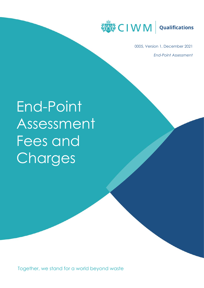

0005, Version 1, December 2021 *End-Point Assessment*

# End-Point Assessment Fees and **Charges**

Together, we stand for a world beyond waste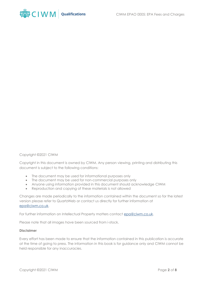

#### Copyright ©2021 CIWM

Copyright in this document is owned by CIWM. Any person viewing, printing and distributing this document is subject to the following conditions:

- The document may be used for informational purposes only
- The document may be used for non-commercial purposes only
- Anyone using information provided in this document should acknowledge CIWM
- Reproduction and copying of these materials is not allowed

Changes are made periodically to the information contained within the document so for the latest version please refer to QuartzWeb or contact us directly for further information at [epa@ciwm.co.uk.](mailto:epa@ciwm.co.uk)

For further information on Intellectual Property matters contact [epa@ciwm.co.uk.](mailto:epa@ciwm.co.uk)

Please note that all images have been sourced from i-stock.

#### **Disclaimer**

Every effort has been made to ensure that the information contained in this publication is accurate at the time of going to press. The information in this book is for guidance only and CIWM cannot be held responsible for any inaccuracies.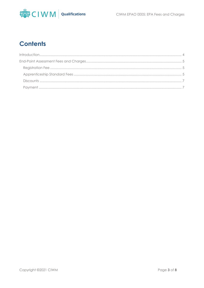

# **Contents**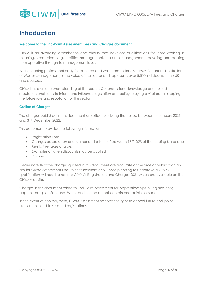

## <span id="page-3-0"></span>**Introduction**

#### **Welcome to the End-Point Assessment Fees and Charges document.**

CIWM is an awarding organisation and charity that develops qualifications for those working in cleaning, street cleansing, facilities management, resource management, recycling and parking from operative through to management level.

As the leading professional body for resource and waste professionals, CIWM (Chartered Institution of Wastes Management) is the voice of the sector and represents over 5,500 individuals in the UK and overseas.

CIWM has a unique understanding of the sector. Our professional knowledge and trusted reputation enable us to inform and influence legislation and policy, playing a vital part in shaping the future role and reputation of the sector.

#### **Outline of Charges**

The charges published in this document are effective during the period between 1st January 2021 and 31st December 2022.

This document provides the following information:

- Registration Fees
- Charges based upon one learner and a tariff of between 15%-20% of the funding band cap
- Re-sits / re-takes charges
- Examples of when discounts may be applied
- Payment

Please note that the charges quoted in this document are accurate at the time of publication and are for CIWM-Assessment End-Point Assessment only. Those planning to undertake a CIWM qualification will need to refer to CIWM's Registration and Charges 2021 which are available on the CIWM website.

Charges in this document relate to End-Point Assessment for Apprenticeships in England only; apprenticeships in Scotland, Wales and Ireland do not contain end-point assessments.

In the event of non-payment, CIWM-Assessment reserves the right to cancel future end-point assessments and to suspend registrations.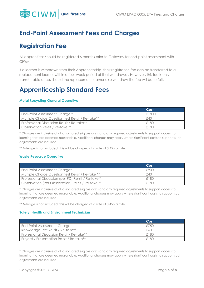

## <span id="page-4-0"></span>**End-Point Assessment Fees and Charges**

## <span id="page-4-1"></span>**Registration Fee**

All apprentices should be registered 6 months prior to Gateway for end-point assessment with CIWM.

If a learner is withdrawn from their Apprenticeship, their registration fee can be transferred to a replacement learner within a four-week period of that withdrawal. However, this fee is only transferrable once, should the replacement learner also withdraw the fee will be forfeit.

## <span id="page-4-2"></span>**Apprenticeship Standard Fees**

#### **Metal Recycling General Operative**

|                                                  | Cost  |
|--------------------------------------------------|-------|
| End-Point Assessment Charge *                    | £1800 |
| Multiple Choice Question test Re-sit / Re-take** | £40   |
| Professional Discussion Re-sit / Re-take**       | £180  |
| Observation Re-sit / Re-take **                  | £180  |

\* Charges are inclusive of all associated eligible costs and any required adjustments to support access to learning that are deemed reasonable. Additional charges may apply where significant costs to support such adjustments are incurred.

\*\* Mileage is not included; this will be charged at a rate of 0.45p a mile.

#### **Waste Resource Operative**

|                                                     | Cost |
|-----------------------------------------------------|------|
| End-Point Assessment Charge*                        | £900 |
| Multiple Choice Question test Re-sit / Re-take **   | £40  |
| Professional Discussion (per PD) Re-sit / Re-take** | £180 |
| Observation (Per Observation) Re-sit / Re-take **   | £180 |

\* Charges are inclusive of all associated eligible costs and any required adjustments to support access to learning that are deemed reasonable. Additional charges may apply where significant costs to support such adjustments are incurred.

\*\* Mileage is not included; this will be charged at a rate of 0.45p a mile.

#### **Safety, Health and Environment Technician**

|                                            | Cost |
|--------------------------------------------|------|
| End-Point Assessment Charge*               | £750 |
| Knowledge Test Re-sit / Re-take**          | £60  |
| Professional Discussion Re-sit / Re-take** | £180 |
| Project / Presentation Re-sit / Re-take**  | £180 |

\* Charges are inclusive of all associated eligible costs and any required adjustments to support access to learning that are deemed reasonable. Additional charges may apply where significant costs to support such adjustments are incurred.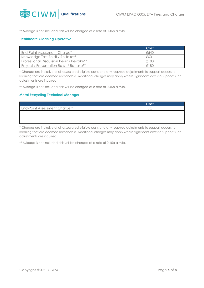

\*\* Mileage is not included; this will be charged at a rate of 0.45p a mile.

#### **Healthcare Cleaning Operative**

|                                            | Cost |
|--------------------------------------------|------|
| End-Point Assessment Charge*               | £540 |
| Knowledge Test Re-sit / Re-take**          | £60  |
| Professional Discussion Re-sit / Re-take** | £180 |
| Project / Presentation Re-sit / Re-take**  | £180 |

\* Charges are inclusive of all associated eligible costs and any required adjustments to support access to learning that are deemed reasonable. Additional charges may apply where significant costs to support such adjustments are incurred.

\*\* Mileage is not included; this will be charged at a rate of 0.45p a mile.

#### **Metal Recycling Technical Manager**

|                                      | Cost      |
|--------------------------------------|-----------|
| <b>End-Point Assessment Charge *</b> | <b>TD</b> |
|                                      |           |
|                                      |           |
|                                      |           |

\* Charges are inclusive of all associated eligible costs and any required adjustments to support access to learning that are deemed reasonable. Additional charges may apply where significant costs to support such adjustments are incurred.

\*\* Mileage is not included; this will be charged at a rate of 0.45p a mile.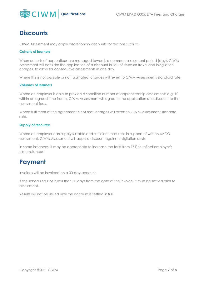

## <span id="page-6-0"></span>**Discounts**

CIWM Assessment may apply discretionary discounts for reasons such as:

#### **Cohorts of learners**

When cohorts of apprentices are managed towards a common assessment period (day), CIWM Assessment will consider the application of a discount in lieu of Assessor travel and invigilation charges, to allow for consecutive assessments in one day.

Where this is not possible or not facilitated, charges will revert to CIWM-Assessments standard rate.

#### **Volumes of learners**

Where an employer is able to provide a specified number of apprenticeship assessments e.g. 10 within an agreed time frame, CIWM Assessment will agree to the application of a discount to the assessment fees.

Where fulfilment of the agreement is not met, charges will revert to CIWM-Assessment standard rate.

#### **Supply of resource**

Where an employer can supply suitable and sufficient resources in support of written /MCQ assessment, CIWM-Assessment will apply a discount against invigilation costs.

In some instances, it may be appropriate to increase the tariff from 15% to reflect employer's circumstances.

## <span id="page-6-1"></span>**Payment**

Invoices will be invoiced on a 30-day account.

If the scheduled EPA is less than 30 days from the date of the invoice, it must be settled prior to assessment.

Results will not be issued until the account is settled in full.